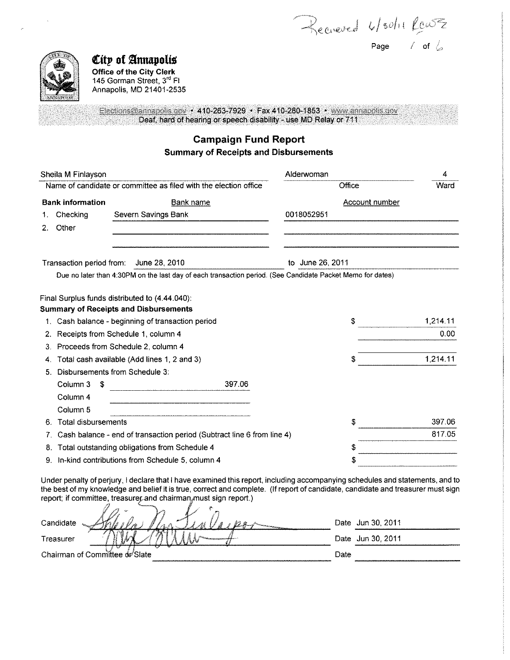$\mathbf{I}$ 

Page / of  $\angle$ 



*City* of Annapolis **Office of the City Clerk** 

145 Gorman Street, 3rd Fl Annapolis, MD 21401-2535

Elections@annapolis.gov • 410-263-7929 • Fax 410-280-1853 • www.annapolis.gov Deaf, hard of hearing or speech disability - use MD Relay or 711

# **Campaign Fund Report Summary of Receipts and Disbursements**

|    | Sheila M Finlayson       |                                                                                                            | Alderwoman            | 4                 |
|----|--------------------------|------------------------------------------------------------------------------------------------------------|-----------------------|-------------------|
|    |                          | Name of candidate or committee as filed with the election office                                           | Office                | Ward              |
|    | <b>Bank information</b>  | <b>Bank name</b>                                                                                           | <b>Account number</b> |                   |
| 1. | Checking                 | Severn Savings Bank                                                                                        | 0018052951            |                   |
| 2. | Other                    |                                                                                                            |                       |                   |
|    | Transaction period from: | June 28, 2010                                                                                              | to June 26, 2011      |                   |
|    |                          | Due no later than 4:30PM on the last day of each transaction period. (See Candidate Packet Memo for dates) |                       |                   |
|    |                          | Final Surplus funds distributed to (4.44.040):                                                             |                       |                   |
|    |                          | <b>Summary of Receipts and Disbursements</b>                                                               |                       |                   |
|    |                          | 1. Cash balance - beginning of transaction period                                                          | \$                    | 1,214.11          |
| 2. |                          | Receipts from Schedule 1, column 4                                                                         |                       | 0.00 <sub>1</sub> |
| 3. |                          | Proceeds from Schedule 2, column 4                                                                         |                       |                   |
|    |                          | Total cash available (Add lines 1, 2 and 3)                                                                | \$                    | 1,214.11          |
|    |                          | 5. Disbursements from Schedule 3:                                                                          |                       |                   |
|    | Column 3<br>S            | 397.06                                                                                                     |                       |                   |
|    | Column 4                 |                                                                                                            |                       |                   |
|    | Column <sub>5</sub>      |                                                                                                            |                       |                   |
| 6. | Total disbursements      |                                                                                                            | S                     | 397.06            |
|    |                          | Cash balance - end of transaction period (Subtract line 6 from line 4)                                     |                       | 817.05            |
| 8. |                          | Total outstanding obligations from Schedule 4                                                              | \$                    |                   |
| 9. |                          | In-kind contributions from Schedule 5, column 4                                                            | \$                    |                   |
|    |                          |                                                                                                            |                       |                   |

Under penalty of perjury, I declare that I have examined this report, including accompanying schedules and statements, and to the best of my knowledge and belief it is true, correct and complete. (If report of candidate, candidate and treasurer must sign report; if committee, treasure and chairman must sign report.)

| Candidate                                     | Date Jun 30, 2011 |
|-----------------------------------------------|-------------------|
| Treasurer<br><b>The Assessment Conference</b> | Date Jun 30, 2011 |
| Chairman of Committee or Slate                | Date              |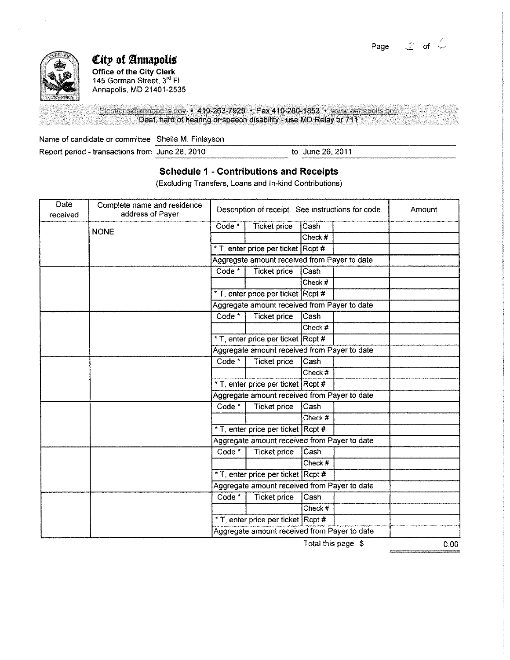Page  $2$  of  $6$ 



# *City* of Annapolis

**Office of the City Clerk**  145 Gorman Street, 3rd Fl Annapolis, MD 21401-2535

Elections@annapolis.gov • 410-263-7929 • Fax 410-280-1853 • www.annapolis.gov Deaf, hard of hearing or speech disability - use MD Relay or 711

Name of candidate or committee Sheila M. Finlayson<br>
Report period - transactions from June 28, 2010 to June 26, 2011

Report period - transactions from June 28, 2010

### **Schedule 1 - Contributions and Receipts**

----~----------------

(Excluding Transfers, Loans and In-kind Contributions)

| Date<br>received | Complete name and residence<br>address of Payer | Description of receipt. See instructions for code. |                                              |           | Amount |  |
|------------------|-------------------------------------------------|----------------------------------------------------|----------------------------------------------|-----------|--------|--|
|                  |                                                 | Code <sup>*</sup>                                  | Ticket price                                 | Cash      |        |  |
|                  | <b>NONE</b>                                     |                                                    |                                              | Check #   |        |  |
|                  |                                                 |                                                    | * T, enter price per ticket Rcpt #           |           |        |  |
|                  |                                                 |                                                    | Aggregate amount received from Payer to date |           |        |  |
|                  |                                                 | Code <sup>*</sup>                                  | <b>Ticket price</b>                          | Cash      |        |  |
|                  |                                                 |                                                    |                                              | Check #   |        |  |
|                  |                                                 |                                                    | * T, enter price per ticket Rcpt #           |           |        |  |
|                  |                                                 |                                                    | Aggregate amount received from Payer to date |           |        |  |
|                  |                                                 | Code *                                             | <b>Ticket price</b>                          | Cash      |        |  |
|                  |                                                 |                                                    |                                              | Check #   |        |  |
|                  |                                                 |                                                    | * T enter price per ticket Rcpt #            |           |        |  |
|                  |                                                 | Aggregate amount received from Payer to date       |                                              |           |        |  |
|                  |                                                 | Code <sup>*</sup>                                  | <b>Ticket price</b>                          | Cash      |        |  |
|                  |                                                 |                                                    |                                              | Check #   |        |  |
|                  |                                                 |                                                    | * T, enter price per ticket Rcpt #           |           |        |  |
|                  |                                                 | Aggregate amount received from Payer to date       |                                              |           |        |  |
|                  |                                                 | Code <sup>*</sup>                                  | <b>Ticket price</b>                          | Cash      |        |  |
|                  |                                                 |                                                    |                                              | Check #   |        |  |
|                  |                                                 |                                                    | * T, enter price per ticket Rcpt #           |           |        |  |
|                  |                                                 |                                                    | Aggregate amount received from Payer to date |           |        |  |
|                  |                                                 | Code <sup>*</sup>                                  | <b>Ticket price</b>                          | Cash      |        |  |
|                  |                                                 |                                                    |                                              | Check $#$ |        |  |
|                  |                                                 |                                                    | * T, enter price per ticket Rcpt #           |           |        |  |
|                  |                                                 | Aggregate amount received from Payer to date       |                                              |           |        |  |
|                  |                                                 | Code <sup>*</sup>                                  | <b>Ticket price</b>                          | Cash      |        |  |
|                  |                                                 |                                                    |                                              | Check #   |        |  |
|                  |                                                 |                                                    | * T, enter price per ticket Rcpt #           |           |        |  |
|                  |                                                 | Aggregate amount received from Payer to date       |                                              |           |        |  |

Total this page \$

0.00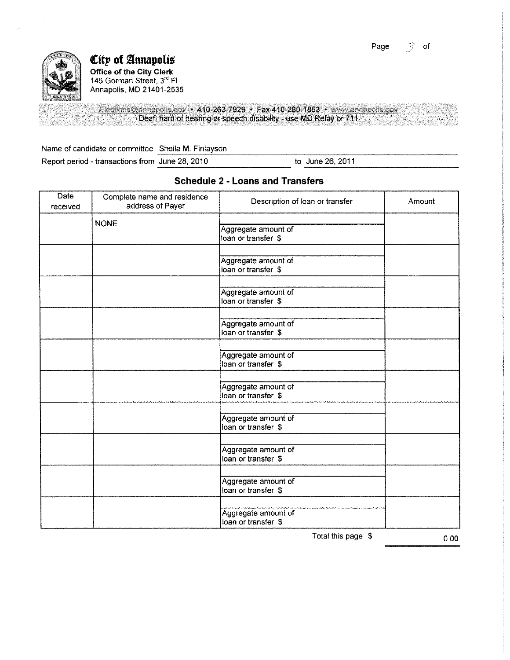Page  $\leq$  of



### $C$ ity of Annapolis **Office of the City Clerk**  145 Gorman Street, 3<sup>rd</sup> Fl Annapolis, MD 21401-2535

Elections@annapolis.gov • 410-263-7929 • Fax 410-280-1853 • www.annapolis.gov Deaf, hard of hearing or speech disability - use MD Relay or 711

Name of candidate or committee \_Sheila M. Finlayson

Report period - transactions from June 28, 2010 to June 26, 2011

| <b>Date</b><br>received | Complete name and residence<br>address of Payer | Description of loan or transfer            | Amount |
|-------------------------|-------------------------------------------------|--------------------------------------------|--------|
|                         | <b>NONE</b>                                     | Aggregate amount of<br>loan or transfer \$ |        |
|                         |                                                 | Aggregate amount of<br>loan or transfer \$ |        |
|                         |                                                 | Aggregate amount of<br>loan or transfer \$ |        |
|                         |                                                 | Aggregate amount of<br>loan or transfer \$ |        |
|                         |                                                 | Aggregate amount of<br>loan or transfer \$ |        |
|                         |                                                 | Aggregate amount of<br>loan or transfer \$ |        |
|                         |                                                 | Aggregate amount of<br>loan or transfer \$ |        |
|                         |                                                 | Aggregate amount of<br>loan or transfer \$ |        |
|                         |                                                 | Aggregate amount of<br>loan or transfer \$ |        |
|                         |                                                 | Aggregate amount of<br>loan or transfer \$ |        |

## **Schedule 2 - Loans and Transfers**

Total this page \$ 0.00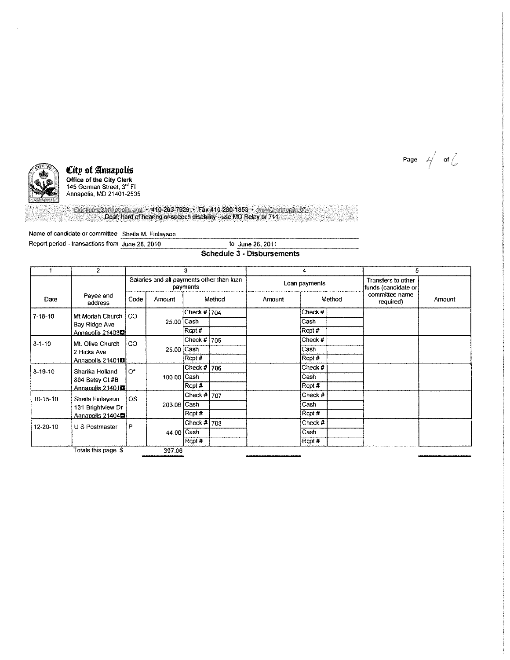



 $\mathcal{L}$ 

#### City of Annapolis $\;$

Office of the City Clerk<br>145 Gorman Street, 3<sup>rd</sup> Fl Annapolis, MD 21401-2535

Elections@annapolis.gov + 410-263-7929 + Fax 410-280-1853 + www.annapolis.gov<br>Deaf, hard of hearing or speech disability - use MD Relay or 711

Name of candidate or committee ~S::ho:e:::ila,\_M::::.\_-:\_Fi:::n:::l•:cYS:::O::n:\_\_ \_\_\_\_\_\_\_\_\_\_\_\_\_\_\_\_\_\_\_\_ \_

Report period - transactions from June 28, 2010

#### Schedule 3 - Disbursements

|                | $\overline{2}$                                         | 3         |             | 4                                                               |  |               | 5       |  |                                            |        |
|----------------|--------------------------------------------------------|-----------|-------------|-----------------------------------------------------------------|--|---------------|---------|--|--------------------------------------------|--------|
|                |                                                        |           |             | Salaries and all payments other than loan<br>payments<br>Method |  | Loan payments |         |  | Transfers to other<br>funds (candidate or) |        |
| Date           | Payee and<br>address                                   | Code      | Amount      |                                                                 |  | Amount        | Method  |  | committee name<br>required)                | Amount |
| $7.18 - 10$    | Mt Moriah Church                                       | CO.       | 25.00 Cash  | Check $# 704$                                                   |  |               | Check#  |  |                                            |        |
|                | Bay Ridge Ave                                          |           |             |                                                                 |  |               | Cash    |  |                                            |        |
|                | Annapolis 21403鳳                                       |           |             | Rcpt#                                                           |  |               | Rcpt #  |  |                                            |        |
| $8 - 1 - 10$   | Mt. Olive Church<br>2 Hicks Ave                        | CO.       | 25.00 Cash  | Check # 705                                                     |  |               | Check # |  |                                            |        |
|                |                                                        |           |             |                                                                 |  |               | Cash    |  |                                            |        |
|                | Annapolis 21401欄                                       |           |             | Rcpt#                                                           |  |               | Rcpt #  |  |                                            |        |
| $8 - 19 - 10$  | Sharika Holland<br>804 Betsy Ct #B<br>Annapolis 21401鳳 | $O^*$     | 100 00 Cash | Check $# 706$                                                   |  |               | Check # |  |                                            |        |
|                |                                                        |           |             |                                                                 |  |               | Cash    |  |                                            |        |
|                |                                                        |           |             | Rcpt#                                                           |  |               | Rcpt #  |  |                                            |        |
| $10-15-10$     | Sheila Finlayson                                       | <b>OS</b> |             | Check # $707$                                                   |  |               | Check # |  |                                            |        |
|                | 131 Brightview Dr                                      |           | 203.06 Cash |                                                                 |  |               | Cash    |  |                                            |        |
|                | Annapolis 21404■                                       |           |             | Rcpt#                                                           |  |               | Rcpt #  |  |                                            |        |
| $12 - 20 - 10$ | U S Postmaster                                         | P         |             | Check # 708                                                     |  |               | Check # |  |                                            |        |
|                |                                                        |           | 44.00 Cash  |                                                                 |  |               | Cash    |  |                                            |        |
|                |                                                        |           |             | Rcpt#                                                           |  |               | Rcpt #  |  |                                            |        |
|                | Totals this page \$<br>397.06                          |           |             |                                                                 |  |               |         |  |                                            |        |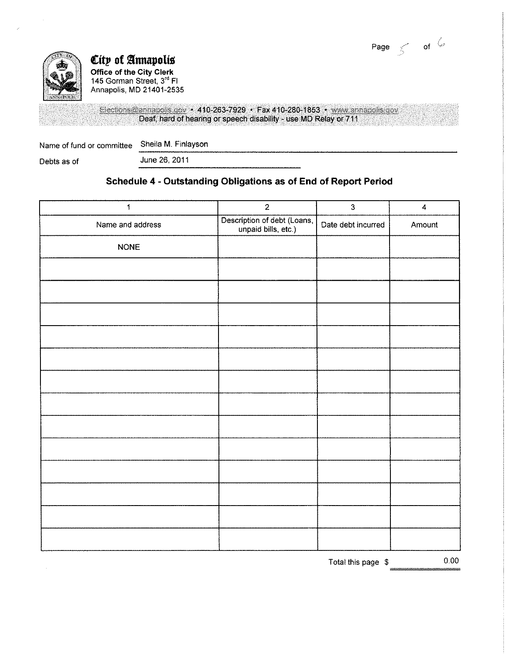



# City of Annapolis $\;$ Office of the City Clerk

145 Gorman Street, 3<sup>rd</sup> Fl Annapolis, MD 21401-2535

Elections@annapolis.gov • 410-263-7929 • Fax 410-280-1853 • www.annapolis.gov Deaf, hard of hearing or speech disability - use MD Relay or 711

Name of fund or committee Sheila M. Finlayson -------------------------------------------- Debts as of June 26, 2011

## Schedule 4 -Outstanding Obligations as of End of Report Period

| $\ddagger$       | $\sqrt{2}$                                         | $\overline{3}$     | $\ddot{4}$ |
|------------------|----------------------------------------------------|--------------------|------------|
| Name and address | Description of debt (Loans,<br>unpaid bills, etc.) | Date debt incurred | Amount     |
| <b>NONE</b>      |                                                    |                    |            |
|                  |                                                    |                    |            |
|                  |                                                    |                    |            |
|                  |                                                    |                    |            |
|                  |                                                    |                    |            |
|                  |                                                    |                    |            |
|                  |                                                    |                    |            |
|                  |                                                    |                    |            |
|                  |                                                    |                    |            |
|                  |                                                    |                    |            |
|                  |                                                    |                    |            |
|                  |                                                    |                    |            |
|                  |                                                    |                    |            |
|                  |                                                    |                    |            |
|                  |                                                    | Total this page \$ | 0.00       |